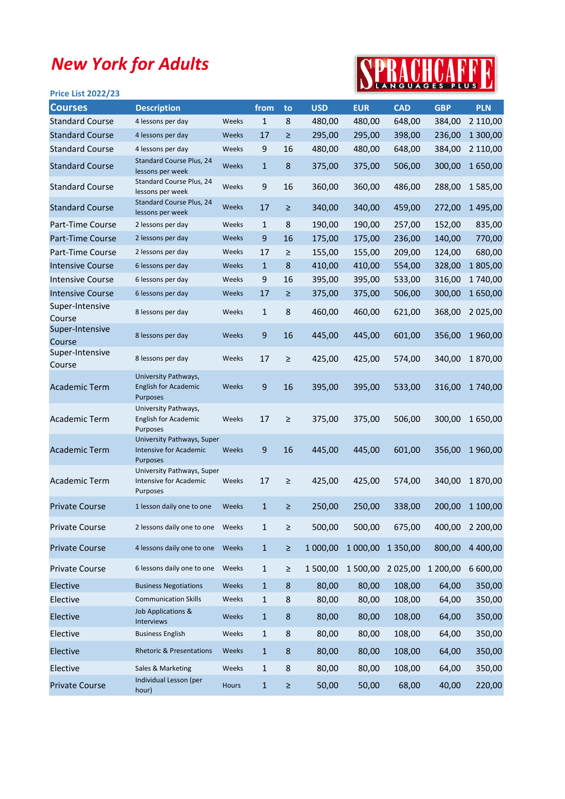## New York for Adults

## SPRACHCAFFE

| <b>Price List 2022/23</b> |                                                                        |       |                  |        |            |            |               |            | <u>.</u>   |
|---------------------------|------------------------------------------------------------------------|-------|------------------|--------|------------|------------|---------------|------------|------------|
| <b>Courses</b>            | <b>Description</b>                                                     |       | from             | to     | <b>USD</b> | <b>EUR</b> | <b>CAD</b>    | <b>GBP</b> | <b>PLN</b> |
| <b>Standard Course</b>    | 4 lessons per day                                                      | Weeks | $\mathbf{1}$     | 8      | 480,00     | 480,00     | 648,00        | 384,00     | 2 110,00   |
| <b>Standard Course</b>    | 4 lessons per day                                                      | Weeks | 17               | ≥      | 295,00     | 295,00     | 398,00        | 236,00     | 1 300,00   |
| <b>Standard Course</b>    | 4 lessons per day                                                      | Weeks | 9                | 16     | 480,00     | 480,00     | 648,00        | 384,00     | 2 110,00   |
| <b>Standard Course</b>    | Standard Course Plus, 24<br>lessons per week                           | Weeks | $\mathbf{1}$     | 8      | 375,00     | 375,00     | 506,00        | 300,00     | 1650,00    |
| <b>Standard Course</b>    | Standard Course Plus, 24<br>lessons per week                           | Weeks | 9                | 16     | 360,00     | 360,00     | 486,00        | 288,00     | 1585,00    |
| <b>Standard Course</b>    | Standard Course Plus, 24<br>lessons per week                           | Weeks | 17               | ≥      | 340,00     | 340,00     | 459,00        | 272,00     | 1495,00    |
| Part-Time Course          | 2 lessons per day                                                      | Weeks | $\mathbf{1}$     | 8      | 190,00     | 190,00     | 257,00        | 152,00     | 835,00     |
| <b>Part-Time Course</b>   | 2 lessons per day                                                      | Weeks | 9                | 16     | 175,00     | 175,00     | 236,00        | 140,00     | 770,00     |
| Part-Time Course          | 2 lessons per day                                                      | Weeks | 17               | $\geq$ | 155,00     | 155,00     | 209,00        | 124,00     | 680,00     |
| <b>Intensive Course</b>   | 6 lessons per day                                                      | Weeks | $\mathbf{1}$     | 8      | 410,00     | 410,00     | 554,00        | 328,00     | 1805,00    |
| <b>Intensive Course</b>   | 6 lessons per day                                                      | Weeks | 9                | 16     | 395,00     | 395,00     | 533,00        | 316,00     | 1740,00    |
| <b>Intensive Course</b>   | 6 lessons per day                                                      | Weeks | 17               | ≥      | 375,00     | 375,00     | 506,00        | 300,00     | 1650,00    |
| Super-Intensive<br>Course | 8 lessons per day                                                      | Weeks | $\mathbf{1}$     | 8      | 460,00     | 460,00     | 621,00        | 368,00     | 2 025,00   |
| Super-Intensive<br>Course | 8 lessons per day                                                      | Weeks | 9                | 16     | 445,00     | 445,00     | 601,00        | 356,00     | 1960,00    |
| Super-Intensive<br>Course | 8 lessons per day                                                      | Weeks | 17               | $\geq$ | 425,00     | 425,00     | 574,00        | 340,00     | 1870,00    |
| <b>Academic Term</b>      | University Pathways,<br><b>English for Academic</b><br><b>Purposes</b> | Weeks | 9                | 16     | 395,00     | 395,00     | 533,00        | 316,00     | 1740,00    |
| <b>Academic Term</b>      | University Pathways,<br><b>English for Academic</b><br>Purposes        | Weeks | 17               | $\geq$ | 375,00     | 375,00     | 506,00        | 300,00     | 1650,00    |
| <b>Academic Term</b>      | University Pathways, Super<br>Intensive for Academic<br>Purposes       | Weeks | $\boldsymbol{9}$ | 16     | 445,00     | 445,00     | 601,00        | 356,00     | 1960,00    |
| Academic Term             | University Pathways, Super<br>Intensive for Academic<br>Purposes       | Weeks | 17               | $\geq$ | 425,00     | 425,00     | 574,00        | 340.00     | 1870,00    |
| <b>Private Course</b>     | 1 lesson daily one to one                                              | Weeks | $\mathbf{1}$     | $\geq$ | 250,00     | 250,00     | 338,00        | 200,00     | 1 100,00   |
| <b>Private Course</b>     | 2 lessons daily one to one                                             | Weeks | $\mathbf{1}$     | $\geq$ | 500,00     | 500,00     | 675,00        | 400,00     | 2 200,00   |
| <b>Private Course</b>     | 4 lessons daily one to one                                             | Weeks | $\mathbf{1}$     | $\geq$ | 1 000,00   | 1 000,00   | 1 3 5 0 , 0 0 | 800,00     | 4 400,00   |
| <b>Private Course</b>     | 6 lessons daily one to one                                             | Weeks | $\mathbf{1}$     | $\geq$ | 1 500,00   | 1 500,00   | 2 025,00      | 1 200,00   | 6 600,00   |
| Elective                  | <b>Business Negotiations</b>                                           | Weeks | $\mathbf{1}$     | 8      | 80,00      | 80,00      | 108,00        | 64,00      | 350,00     |
| Elective                  | <b>Communication Skills</b>                                            | Weeks | $\mathbf{1}$     | 8      | 80,00      | 80,00      | 108,00        | 64,00      | 350,00     |
| Elective                  | Job Applications &<br><b>Interviews</b>                                | Weeks | $\mathbf{1}$     | 8      | 80,00      | 80,00      | 108,00        | 64,00      | 350,00     |
| Elective                  | <b>Business English</b>                                                | Weeks | $\mathbf{1}$     | 8      | 80,00      | 80,00      | 108,00        | 64,00      | 350,00     |
| Elective                  | <b>Rhetoric &amp; Presentations</b>                                    | Weeks | $\mathbf{1}$     | 8      | 80,00      | 80,00      | 108,00        | 64,00      | 350,00     |
| Elective                  | Sales & Marketing                                                      | Weeks | $\mathbf{1}$     | 8      | 80,00      | 80,00      | 108,00        | 64,00      | 350,00     |
| <b>Private Course</b>     | Individual Lesson (per<br>hour)                                        | Hours | $\mathbf{1}$     | ≥      | 50,00      | 50,00      | 68,00         | 40,00      | 220,00     |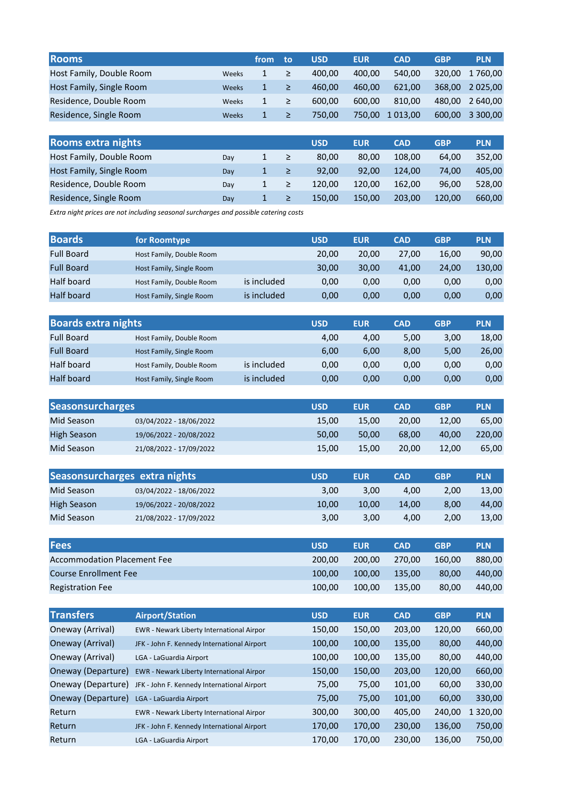| <b>Rooms</b>              |       | from         | to | <b>USD</b> | <b>EUR</b> | <b>CAD</b> | <b>GBP</b> | <b>PLN</b>    |
|---------------------------|-------|--------------|----|------------|------------|------------|------------|---------------|
| Host Family, Double Room  | Weeks | 1            | ≥  | 400,00     | 400,00     | 540,00     | 320.00     | 1760,00       |
| Host Family, Single Room  | Weeks | $\mathbf{1}$ | ≥  | 460,00     | 460,00     | 621,00     | 368,00     | 2 0 2 5 , 0 0 |
| Residence, Double Room    | Weeks | 1            | ≥  | 600,00     | 600,00     | 810,00     | 480,00     | 2 640,00      |
| Residence, Single Room    | Weeks | 1            | ≥  | 750,00     | 750,00     | 1 013,00   | 600,00     | 3 300,00      |
|                           |       |              |    |            |            |            |            |               |
| <b>Rooms extra nights</b> |       |              |    | <b>USD</b> | <b>EUR</b> | <b>CAD</b> | <b>GBP</b> | <b>PLN</b>    |
| Host Family, Double Room  | Day   | 1            | ≥  | 80,00      | 80,00      | 108,00     | 64,00      | 352,00        |
| Host Family, Single Room  | Day   | $\mathbf{1}$ | ≥  | 92,00      | 92.00      | 124,00     | 74,00      | 405.00        |

Day 1 ≥ 120,00 120,00 162,00 96,00 528,00 Day 1 ≥ 150,00 150,00 203,00 120,00 660,00

Extra night prices are not including seasonal surcharges and possible catering costs

Residence, Double Room Residence, Single Room

| <b>Boards</b>     | for Roomtype             |             | <b>USD</b> | <b>EUR</b> | <b>CAD</b> | <b>GBP</b> | <b>PLN</b> |
|-------------------|--------------------------|-------------|------------|------------|------------|------------|------------|
| <b>Full Board</b> | Host Family, Double Room |             | 20,00      | 20.00      | 27.00      | 16,00      | 90,00      |
| <b>Full Board</b> | Host Family, Single Room |             | 30.00      | 30.00      | 41.00      | 24.00      | 130.00     |
| Half board        | Host Family, Double Room | is included | 0.00       | 0.00       | 0,00       | 0,00       | 0,00       |
| Half board        | Host Family, Single Room | is included | 0,00       | 0.00       | 0,00       | 0,00       | 0,00       |

| <b>Boards extra nights</b> |                          |             | <b>USD</b> | <b>EUR</b> | <b>CAD</b> | <b>GBP</b> | <b>PLN</b> |
|----------------------------|--------------------------|-------------|------------|------------|------------|------------|------------|
| <b>Full Board</b>          | Host Family, Double Room |             | 4.00       | 4.00       | 5,00       | 3,00       | 18,00      |
| <b>Full Board</b>          | Host Family, Single Room |             | 6.00       | 6,00       | 8,00       | 5,00       | 26,00      |
| Half board                 | Host Family, Double Room | is included | 0.00       | 0.00       | 0,00       | 0,00       | 0,00       |
| <b>Half board</b>          | Host Family, Single Room | is included | 0.00       | 0.00       | 0,00       | 0,00       | 0,00       |

| <b>Seasonsurcharges</b> |                         | <b>USD</b> | <b>EUR</b> | <b>CAD</b> | <b>GBP</b> | <b>PLN</b> |
|-------------------------|-------------------------|------------|------------|------------|------------|------------|
| Mid Season              | 03/04/2022 - 18/06/2022 | 15.00      | 15.00      | 20.00      | 12.00      | 65.00      |
| High Season             | 19/06/2022 - 20/08/2022 | 50.00      | 50.00      | 68.00      | 40.00      | 220.00     |
| Mid Season              | 21/08/2022 - 17/09/2022 | 15,00      | 15.00      | 20.00      | 12.00      | 65,00      |

|                    | Seasonsurcharges extra nights | <b>USD</b> | <b>EUR</b> | <b>CAD</b> | GBP  | <b>PLN</b> |
|--------------------|-------------------------------|------------|------------|------------|------|------------|
| Mid Season         | 03/04/2022 - 18/06/2022       | 3.00       | 3.00       | 4.00       | 2.00 | 13.00      |
| <b>High Season</b> | 19/06/2022 - 20/08/2022       | 10.00      | 10.00      | 14.00      | 8.00 | 44.00      |
| Mid Season         | 21/08/2022 - 17/09/2022       | 3.00       | 3.00       | 4.00       | 2.00 | 13.00      |

| <b>Fees</b>                        | <b>USD</b> | <b>EUR</b> | <b>CAD</b> | <b>GBP</b> | <b>PLN</b> |
|------------------------------------|------------|------------|------------|------------|------------|
| <b>Accommodation Placement Fee</b> | 200.00     | 200.00     | 270.00     | 160.00     | 880.00     |
| <b>Course Enrollment Fee</b>       | 100.00     | 100.00     | 135.00     | 80.00      | 440.00     |
| <b>Registration Fee</b>            | 100.00     | 100.00     | 135.00     | 80.00      | 440.00     |

| <b>Transfers</b>   | <b>Airport/Station</b>                      | <b>USD</b> | <b>EUR</b> | <b>CAD</b> | <b>GBP</b> | <b>PLN</b>             |
|--------------------|---------------------------------------------|------------|------------|------------|------------|------------------------|
| Oneway (Arrival)   | EWR - Newark Liberty International Airpor   | 150,00     | 150,00     | 203,00     | 120,00     | 660,00                 |
| Oneway (Arrival)   | JFK - John F. Kennedy International Airport | 100,00     | 100,00     | 135,00     | 80,00      | 440,00                 |
| Oneway (Arrival)   | LGA - LaGuardia Airport                     | 100,00     | 100,00     | 135,00     | 80,00      | 440,00                 |
| Oneway (Departure) | EWR - Newark Liberty International Airpor   | 150,00     | 150,00     | 203,00     | 120,00     | 660,00                 |
| Oneway (Departure) | JFK - John F. Kennedy International Airport | 75,00      | 75,00      | 101,00     | 60,00      | 330,00                 |
| Oneway (Departure) | LGA - LaGuardia Airport                     | 75,00      | 75,00      | 101,00     | 60,00      | 330,00                 |
| Return             | EWR - Newark Liberty International Airpor   | 300,00     | 300,00     | 405,00     | 240,00     | 320,00<br>$\mathbf{1}$ |
| Return             | JFK - John F. Kennedy International Airport | 170,00     | 170,00     | 230,00     | 136,00     | 750,00                 |
| Return             | LGA - LaGuardia Airport                     | 170,00     | 170,00     | 230,00     | 136,00     | 750,00                 |